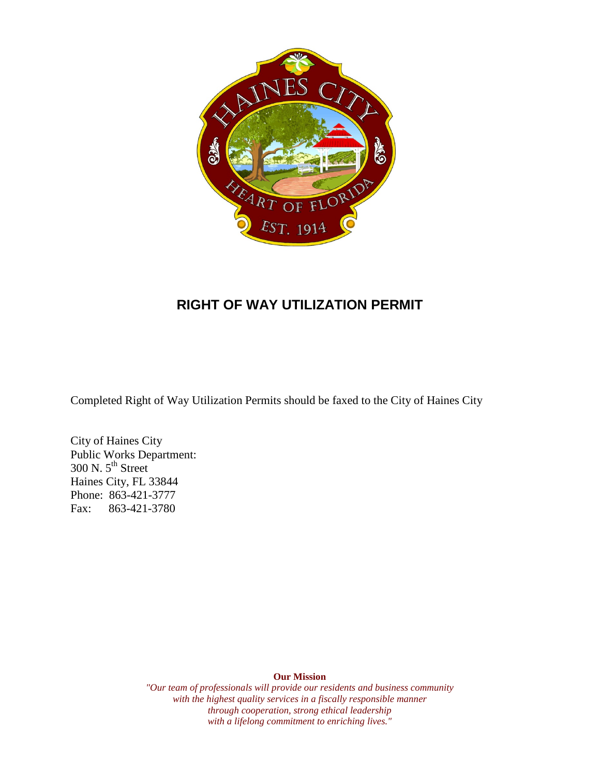

## **RIGHT OF WAY UTILIZATION PERMIT**

Completed Right of Way Utilization Permits should be faxed to the City of Haines City

 Public Works Department: City of Haines City  $300$  N.  $5^{\text{th}}$  Street Haines City, FL 33844 Phone: 863-421-3777 Fax: 863-421-3780

**Our Mission** 

*"Our team of professionals will provide our residents and business community with the highest quality services in a fiscally responsible manner through cooperation, strong ethical leadership with a lifelong commitment to enriching lives."*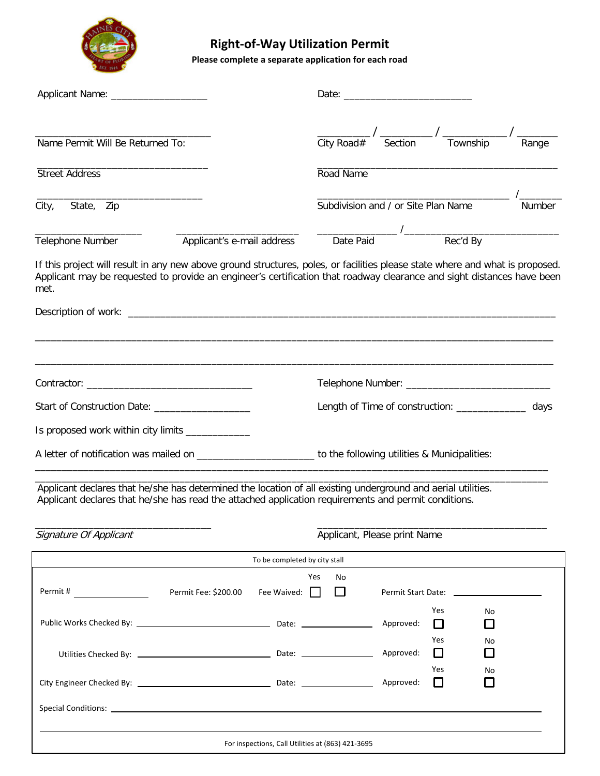

# **Right-of-Way Utilization Permit**

**Please complete a separate application for each road** 

| Applicant Name: _____________________                                                                                                                                                                                                                           |                            |                                                                 |     |         |                                                                                          |               |                     |       |
|-----------------------------------------------------------------------------------------------------------------------------------------------------------------------------------------------------------------------------------------------------------------|----------------------------|-----------------------------------------------------------------|-----|---------|------------------------------------------------------------------------------------------|---------------|---------------------|-------|
| Name Permit Will Be Returned To:                                                                                                                                                                                                                                |                            |                                                                 |     |         | $\frac{1}{\text{City Road#}}$ / $\frac{1}{\text{Section}}$ / $\frac{1}{\text{Township}}$ |               |                     | Range |
|                                                                                                                                                                                                                                                                 |                            |                                                                 |     |         |                                                                                          |               |                     |       |
| <b>Street Address</b>                                                                                                                                                                                                                                           |                            | Road Name                                                       |     |         |                                                                                          |               |                     |       |
| City,<br>State, Zip                                                                                                                                                                                                                                             |                            | Subdivision and / or Site Plan Name<br>Date Paid Value Rec'd By |     |         |                                                                                          |               | Number              |       |
| Telephone Number                                                                                                                                                                                                                                                | Applicant's e-mail address |                                                                 |     |         |                                                                                          |               |                     |       |
| If this project will result in any new above ground structures, poles, or facilities please state where and what is proposed.<br>Applicant may be requested to provide an engineer's certification that roadway clearance and sight distances have been<br>met. |                            |                                                                 |     |         |                                                                                          |               |                     |       |
|                                                                                                                                                                                                                                                                 |                            |                                                                 |     |         |                                                                                          |               |                     |       |
|                                                                                                                                                                                                                                                                 |                            |                                                                 |     |         |                                                                                          |               |                     |       |
| Start of Construction Date: ____________________                                                                                                                                                                                                                |                            | Length of Time of construction: ______________<br>days          |     |         |                                                                                          |               |                     |       |
| Is proposed work within city limits _____________                                                                                                                                                                                                               |                            |                                                                 |     |         |                                                                                          |               |                     |       |
| A letter of notification was mailed on ___________________________ to the following utilities & Municipalities:                                                                                                                                                 |                            |                                                                 |     |         |                                                                                          |               |                     |       |
| Applicant declares that he/she has determined the location of all existing underground and aerial utilities.<br>Applicant declares that he/she has read the attached application requirements and permit conditions.                                            |                            |                                                                 |     |         |                                                                                          |               |                     |       |
| Signature Of Applicant                                                                                                                                                                                                                                          |                            | Applicant, Please print Name                                    |     |         |                                                                                          |               |                     |       |
|                                                                                                                                                                                                                                                                 |                            | To be completed by city stall                                   |     |         |                                                                                          |               |                     |       |
| Permit #                                                                                                                                                                                                                                                        | Permit Fee: \$200.00       | Fee Waived: $\Box$                                              | Yes | No<br>口 |                                                                                          |               |                     |       |
|                                                                                                                                                                                                                                                                 |                            |                                                                 |     |         | Approved:                                                                                | Yes<br>$\Box$ | No<br>U             |       |
|                                                                                                                                                                                                                                                                 |                            |                                                                 |     |         | Approved:                                                                                | Yes<br>□      | No<br>$\mathcal{L}$ |       |
|                                                                                                                                                                                                                                                                 |                            |                                                                 |     |         | Approved:                                                                                | Yes<br>□      | No                  |       |
|                                                                                                                                                                                                                                                                 |                            |                                                                 |     |         |                                                                                          |               |                     |       |
|                                                                                                                                                                                                                                                                 |                            | For inspections, Call Utilities at (863) 421-3695               |     |         |                                                                                          |               |                     |       |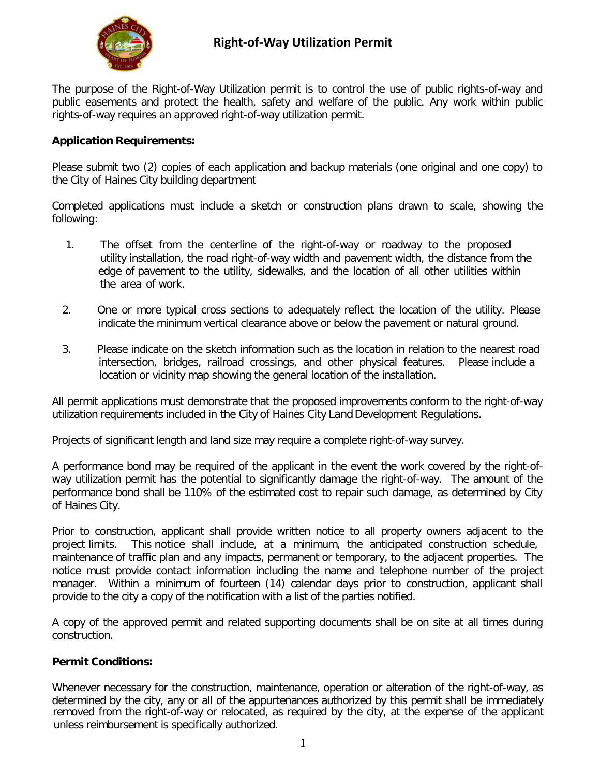

The purpose of the Right-of-Way Utilization permit is to control the use of public rights-of-way and public easements and protect the health, safety and welfare of the public. Any work within public rights-of-way requires an approved right-of-way utilization permit.

## **Application Requirements:**

 Please submit two (2) copies of each application and backup materials (one original and one copy) to the City of Haines City building department

 Completed applications must include a sketch or construction plans drawn to scale, showing the following:

- 1. The offset from the centerline of the right-of-way or roadway to the proposed utility installation, the road right-of-way width and pavement width, the distance from the edge of pavement to the utility, sidewalks, and the location of all other utilities within the area of work.
- 2. One or more typical cross sections to adequately reflect the location of the utility. Please indicate the minimum vertical clearance above or below the pavement or natural ground.
- 3. Please indicate on the sketch information such as the location in relation to the nearest road intersection, bridges, railroad crossings, and other physical features. Please include a location or vicinity map showing the general location of the installation.

 All permit applications must demonstrate that the proposed improvements conform to the right-of-way utilization requirements included in the City of Haines City Land Development Regulations.

Projects of significant length and land size may require a complete right-of-way survey.

 A performance bond may be required of the applicant in the event the work covered by the right-of- way utilization permit has the potential to significantly damage the right-of-way. The amount of the performance bond shall be 110% of the estimated cost to repair such damage, as determined by City of Haines City.

 Prior to construction, applicant shall provide written notice to all property owners adjacent to the project limits. maintenance of traffic plan and any impacts, permanent or temporary, to the adjacent properties. The notice must provide contact information including the name and telephone number of the project manager. Within a minimum of fourteen (14) calendar days prior to construction, applicant shall provide to the city a copy of the notification with a list of the parties notified. This notice shall include, at a minimum, the anticipated construction schedule,

 A copy of the approved permit and related supporting documents shall be on site at all times during construction.

## **Permit Conditions:**

 Whenever necessary for the construction, maintenance, operation or alteration of the right-of-way, as determined by the city, any or all of the appurtenances authorized by this permit shall be immediately removed from the right-of-way or relocated, as required by the city, at the expense of the applicant unless reimbursement is specifically authorized.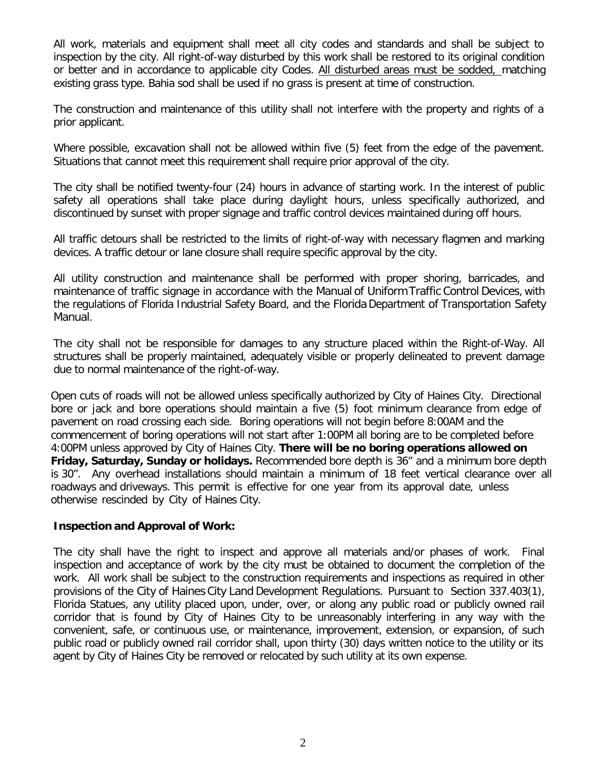All work, materials and equipment shall meet all city codes and standards and shall be subject to inspection by the city. All right-of-way disturbed by this work shall be restored to its original condition or better and in accordance to applicable city Codes. All disturbed areas must be sodded, matching existing grass type. Bahia sod shall be used if no grass is present at time of construction.

 The construction and maintenance of this utility shall not interfere with the property and rights of a prior applicant.

 Where possible, excavation shall not be allowed within five (5) feet from the edge of the pavement. Situations that cannot meet this requirement shall require prior approval of the city.

 The city shall be notified twenty-four (24) hours in advance of starting work. In the interest of public safety all operations shall take place during daylight hours, unless specifically authorized, and discontinued by sunset with proper signage and traffic control devices maintained during off hours.

 All traffic detours shall be restricted to the limits of right-of-way with necessary flagmen and marking devices. A traffic detour or lane closure shall require specific approval by the city.

 All utility construction and maintenance shall be performed with proper shoring, barricades, and maintenance of traffic signage in accordance with the Manual of Uniform Traffic Control Devices, with the regulations of Florida Industrial Safety Board, and the Florida Department of Transportation Safety Manual.

 The city shall not be responsible for damages to any structure placed within the Right-of-Way. All structures shall be properly maintained, adequately visible or properly delineated to prevent damage due to normal maintenance of the right-of-way.

 Open cuts of roads will not be allowed unless specifically authorized by City of Haines City. Directional bore or jack and bore operations should maintain a five (5) foot minimum clearance from edge of pavement on road crossing each side. Boring operations will not begin before 8:00AM and the commencement of boring operations will not start after 1:00PM all boring are to be completed before 4:00PM unless approved by City of Haines City. **There will be no boring operations allowed on Friday, Saturday, Sunday or holidays.** Recommended bore depth is 36" and a minimum bore depth is 30". Any overhead installations should maintain a minimum of 18 feet vertical clearance over all roadways and driveways. This permit is effective for one year from its approval date, unless otherwise rescinded by City of Haines City.

### **Inspection and Approval of Work:**

 The city shall have the right to inspect and approve all materials and/or phases of work. Final inspection and acceptance of work by the city must be obtained to document the completion of the work. All work shall be subject to the construction requirements and inspections as required in other provisions of the City of Haines City Land Development Regulations. Pursuant to Section 337.403(1), Florida Statues, any utility placed upon, under, over, or along any public road or publicly owned rail corridor that is found by City of Haines City to be unreasonably interfering in any way with the convenient, safe, or continuous use, or maintenance, improvement, extension, or expansion, of such public road or publicly owned rail corridor shall, upon thirty (30) days written notice to the utility or its agent by City of Haines City be removed or relocated by such utility at its own expense.